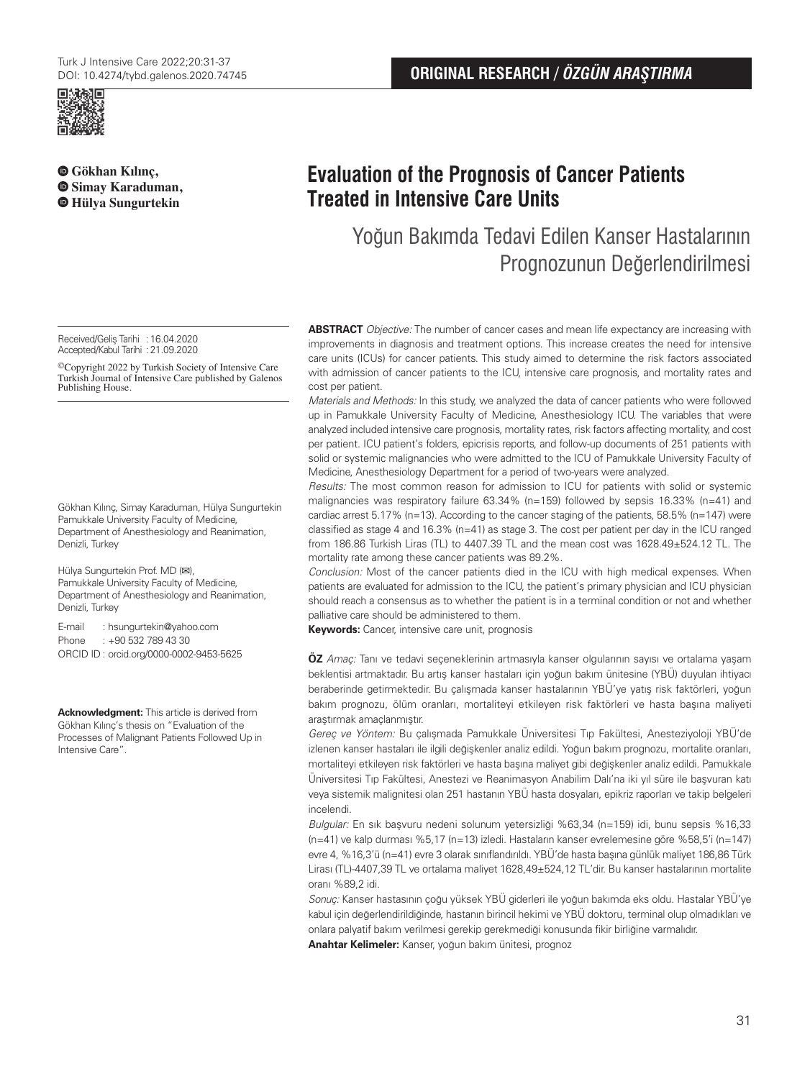

 **[G](https://orcid.org/0000-0001-7979-6993)ökhan Kılınç,  [S](https://orcid.org/0000-0001-9401-7812)imay Karaduman, Hülya Sungurtekin**

# **Evaluation of the Prognosis of Cancer Patients Treated in Intensive Care Units**

Yoğun Bakımda Tedavi Edilen Kanser Hastalarının Prognozunun Değerlendirilmesi

Received/Geliş Tarihi :16.04.2020 Accepted/Kabul Tarihi :21.09.2020

©Copyright 2022 by Turkish Society of Intensive Care Turkish Journal of Intensive Care published by Galenos Publishing House.

Gökhan Kılınç, Simay Karaduman, Hülya Sungurtekin Pamukkale University Faculty of Medicine, Department of Anesthesiology and Reanimation, Denizli, Turkey

Hülya Sungurtekin Prof. MD (**✉**), Pamukkale University Faculty of Medicine, Department of Anesthesiology and Reanimation, Denizli, Turkey

E-mail : hsungurtekin@yahoo.com Phone : +90 532 789 43 30 ORCID ID : orcid.org/0000-0002-9453-5625

**Acknowledgment:** This article is derived from Gökhan Kılınç's thesis on "Evaluation of the Processes of Malignant Patients Followed Up in Intensive Care".

**ABSTRACT** Objective: The number of cancer cases and mean life expectancy are increasing with improvements in diagnosis and treatment options. This increase creates the need for intensive care units (ICUs) for cancer patients. This study aimed to determine the risk factors associated with admission of cancer patients to the ICU, intensive care prognosis, and mortality rates and cost per patient.

Materials and Methods: In this study, we analyzed the data of cancer patients who were followed up in Pamukkale University Faculty of Medicine, Anesthesiology ICU. The variables that were analyzed included intensive care prognosis, mortality rates, risk factors affecting mortality, and cost per patient. ICU patient's folders, epicrisis reports, and follow-up documents of 251 patients with solid or systemic malignancies who were admitted to the ICU of Pamukkale University Faculty of Medicine, Anesthesiology Department for a period of two-years were analyzed.

Results: The most common reason for admission to ICU for patients with solid or systemic malignancies was respiratory failure  $63.34\%$  (n=159) followed by sepsis  $16.33\%$  (n=41) and cardiac arrest 5.17% (n=13). According to the cancer staging of the patients, 58.5% (n=147) were classified as stage 4 and 16.3% (n=41) as stage 3. The cost per patient per day in the ICU ranged from 186.86 Turkish Liras (TL) to 4407.39 TL and the mean cost was 1628.49±524.12 TL. The mortality rate among these cancer patients was 89.2%.

Conclusion: Most of the cancer patients died in the ICU with high medical expenses. When patients are evaluated for admission to the ICU, the patient's primary physician and ICU physician should reach a consensus as to whether the patient is in a terminal condition or not and whether palliative care should be administered to them.

**Keywords:** Cancer, intensive care unit, prognosis

**ÖZ** Amaç: Tanı ve tedavi seçeneklerinin artmasıyla kanser olgularının sayısı ve ortalama yaşam beklentisi artmaktadır. Bu artış kanser hastaları için yoğun bakım ünitesine (YBÜ) duyulan ihtiyacı beraberinde getirmektedir. Bu çalışmada kanser hastalarının YBÜ'ye yatış risk faktörleri, yoğun bakım prognozu, ölüm oranları, mortaliteyi etkileyen risk faktörleri ve hasta başına maliyeti araştırmak amaçlanmıştır.

Gereç ve Yöntem: Bu çalışmada Pamukkale Üniversitesi Tıp Fakültesi, Anesteziyoloji YBÜ'de izlenen kanser hastaları ile ilgili değişkenler analiz edildi. Yoğun bakım prognozu, mortalite oranları, mortaliteyi etkileyen risk faktörleri ve hasta başına maliyet gibi değişkenler analiz edildi. Pamukkale Üniversitesi Tıp Fakültesi, Anestezi ve Reanimasyon Anabilim Dalı'na iki yıl süre ile başvuran katı veya sistemik malignitesi olan 251 hastanın YBÜ hasta dosyaları, epikriz raporları ve takip belgeleri incelendi.

Bulgular: En sık başvuru nedeni solunum yetersizliği %63,34 (n=159) idi, bunu sepsis %16,33 (n=41) ve kalp durması %5,17 (n=13) izledi. Hastaların kanser evrelemesine göre %58,5'i (n=147) evre 4, %16,3'ü (n=41) evre 3 olarak sınıflandırıldı. YBÜ'de hasta başına günlük maliyet 186,86 Türk Lirası (TL)-4407,39 TL ve ortalama maliyet 1628,49±524,12 TL'dir. Bu kanser hastalarının mortalite oranı %89,2 idi.

Sonuç: Kanser hastasının çoğu yüksek YBÜ giderleri ile yoğun bakımda eks oldu. Hastalar YBÜ'ye kabul için değerlendirildiğinde, hastanın birincil hekimi ve YBÜ doktoru, terminal olup olmadıkları ve onlara palyatif bakım verilmesi gerekip gerekmediği konusunda fikir birliğine varmalıdır.

**Anahtar Kelimeler:** Kanser, yoğun bakım ünitesi, prognoz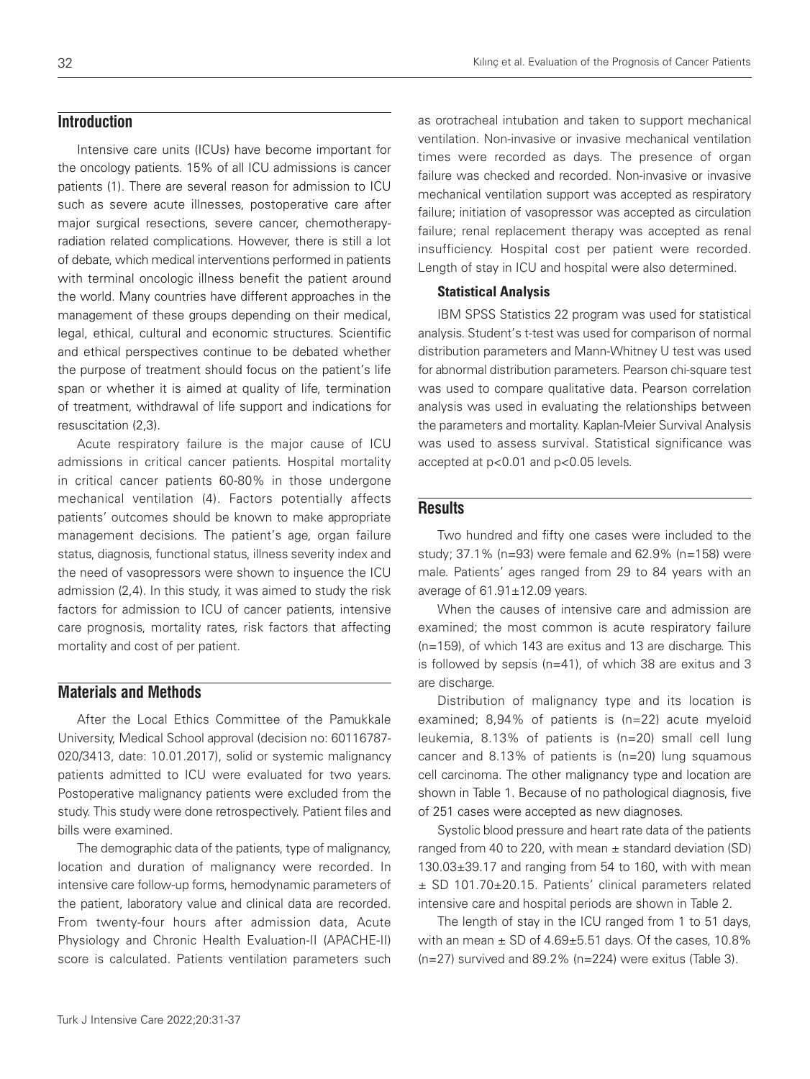# **Introduction**

Intensive care units (ICUs) have become important for the oncology patients. 15% of all ICU admissions is cancer patients (1). There are several reason for admission to ICU such as severe acute illnesses, postoperative care after major surgical resections, severe cancer, chemotherapyradiation related complications. However, there is still a lot of debate, which medical interventions performed in patients with terminal oncologic illness benefit the patient around the world. Many countries have different approaches in the management of these groups depending on their medical, legal, ethical, cultural and economic structures. Scientific and ethical perspectives continue to be debated whether the purpose of treatment should focus on the patient's life span or whether it is aimed at quality of life, termination of treatment, withdrawal of life support and indications for resuscitation (2,3).

Acute respiratory failure is the major cause of ICU admissions in critical cancer patients. Hospital mortality in critical cancer patients 60-80% in those undergone mechanical ventilation (4). Factors potentially affects patients' outcomes should be known to make appropriate management decisions. The patient's age, organ failure status, diagnosis, functional status, illness severity index and the need of vasopressors were shown to insuence the ICU admission (2,4). In this study, it was aimed to study the risk factors for admission to ICU of cancer patients, intensive care prognosis, mortality rates, risk factors that affecting mortality and cost of per patient.

## **Materials and Methods**

After the Local Ethics Committee of the Pamukkale University, Medical School approval (decision no: 60116787- 020/3413, date: 10.01.2017), solid or systemic malignancy patients admitted to ICU were evaluated for two years. Postoperative malignancy patients were excluded from the study. This study were done retrospectively. Patient files and bills were examined.

The demographic data of the patients, type of malignancy, location and duration of malignancy were recorded. In intensive care follow-up forms, hemodynamic parameters of the patient, laboratory value and clinical data are recorded. From twenty-four hours after admission data, Acute Physiology and Chronic Health Evaluation-II (APACHE-II) score is calculated. Patients ventilation parameters such

as orotracheal intubation and taken to support mechanical ventilation. Non-invasive or invasive mechanical ventilation times were recorded as days. The presence of organ failure was checked and recorded. Non-invasive or invasive mechanical ventilation support was accepted as respiratory failure; initiation of vasopressor was accepted as circulation failure; renal replacement therapy was accepted as renal insufficiency. Hospital cost per patient were recorded. Length of stay in ICU and hospital were also determined.

#### Statistical Analysis

IBM SPSS Statistics 22 program was used for statistical analysis. Student's t-test was used for comparison of normal distribution parameters and Mann-Whitney U test was used for abnormal distribution parameters. Pearson chi-square test was used to compare qualitative data. Pearson correlation analysis was used in evaluating the relationships between the parameters and mortality. Kaplan-Meier Survival Analysis was used to assess survival. Statistical significance was accepted at p<0.01 and p<0.05 levels.

## **Results**

Two hundred and fifty one cases were included to the study; 37.1% (n=93) were female and 62.9% (n=158) were male. Patients' ages ranged from 29 to 84 years with an average of 61.91±12.09 years.

When the causes of intensive care and admission are examined; the most common is acute respiratory failure (n=159), of which 143 are exitus and 13 are discharge. This is followed by sepsis (n=41), of which 38 are exitus and 3 are discharge.

Distribution of malignancy type and its location is examined; 8,94% of patients is (n=22) acute myeloid leukemia, 8.13% of patients is (n=20) small cell lung cancer and 8.13% of patients is (n=20) lung squamous cell carcinoma. The other malignancy type and location are shown in Table 1. Because of no pathological diagnosis, five of 251 cases were accepted as new diagnoses.

Systolic blood pressure and heart rate data of the patients ranged from 40 to 220, with mean  $\pm$  standard deviation (SD) 130.03±39.17 and ranging from 54 to 160, with with mean ± SD 101.70±20.15. Patients' clinical parameters related intensive care and hospital periods are shown in Table 2.

The length of stay in the ICU ranged from 1 to 51 days, with an mean  $\pm$  SD of 4.69 $\pm$ 5.51 days. Of the cases, 10.8% (n=27) survived and 89.2% (n=224) were exitus (Table 3).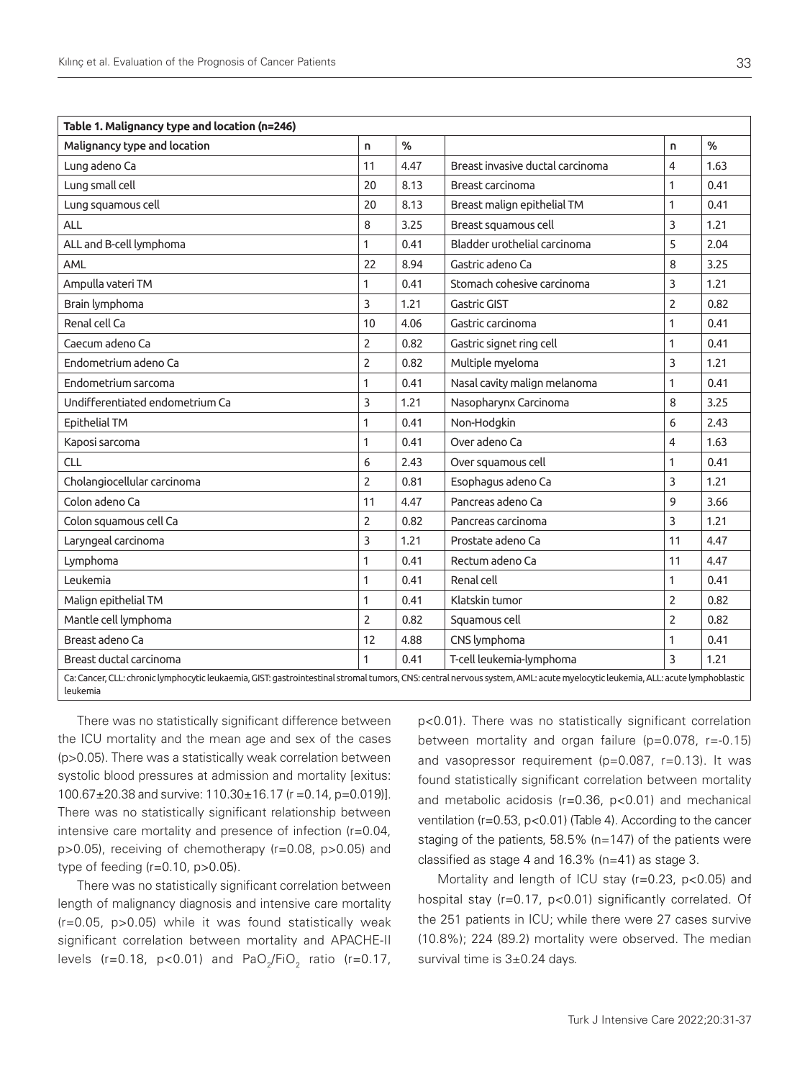| Table 1. Malignancy type and location (n=246)                                                                                                                                            |                |               |                                  |                |      |  |  |  |
|------------------------------------------------------------------------------------------------------------------------------------------------------------------------------------------|----------------|---------------|----------------------------------|----------------|------|--|--|--|
| Malignancy type and location                                                                                                                                                             | n.             | $\frac{9}{6}$ |                                  | n              | %    |  |  |  |
| Lung adeno Ca                                                                                                                                                                            | 11             | 4.47          | Breast invasive ductal carcinoma | 4              | 1.63 |  |  |  |
| Lung small cell                                                                                                                                                                          | 20             | 8.13          | Breast carcinoma                 | 1              | 0.41 |  |  |  |
| Lung squamous cell                                                                                                                                                                       | 20             | 8.13          | Breast malign epithelial TM      | $\mathbf{1}$   | 0.41 |  |  |  |
| ALL                                                                                                                                                                                      | 8              | 3.25          | Breast squamous cell             | 3              | 1.21 |  |  |  |
| ALL and B-cell lymphoma                                                                                                                                                                  | $\mathbf{1}$   | 0.41          | Bladder urothelial carcinoma     | 5              | 2.04 |  |  |  |
| AML                                                                                                                                                                                      | 22             | 8.94          | Gastric adeno Ca                 | 8              | 3.25 |  |  |  |
| Ampulla vateri TM                                                                                                                                                                        | 1              | 0.41          | Stomach cohesive carcinoma       | 3              | 1.21 |  |  |  |
| Brain lymphoma                                                                                                                                                                           | 3              | 1.21          | <b>Gastric GIST</b>              | $\overline{2}$ | 0.82 |  |  |  |
| Renal cell Ca                                                                                                                                                                            | 10             | 4.06          | Gastric carcinoma                | 1              | 0.41 |  |  |  |
| Caecum adeno Ca                                                                                                                                                                          | $\overline{2}$ | 0.82          | Gastric signet ring cell         | 1              | 0.41 |  |  |  |
| Endometrium adeno Ca                                                                                                                                                                     | $\overline{2}$ | 0.82          | Multiple myeloma                 | 3              | 1.21 |  |  |  |
| Endometrium sarcoma                                                                                                                                                                      | 1              | 0.41          | Nasal cavity malign melanoma     | 1              | 0.41 |  |  |  |
| Undifferentiated endometrium Ca                                                                                                                                                          | 3              | 1.21          | Nasopharynx Carcinoma            | 8              | 3.25 |  |  |  |
| Epithelial TM                                                                                                                                                                            | 1              | 0.41          | Non-Hodgkin                      | 6              | 2.43 |  |  |  |
| Kaposi sarcoma                                                                                                                                                                           | 1              | 0.41          | Over adeno Ca                    | 4              | 1.63 |  |  |  |
| <b>CLL</b>                                                                                                                                                                               | 6              | 2.43          | Over squamous cell               | $\mathbf{1}$   | 0.41 |  |  |  |
| Cholangiocellular carcinoma                                                                                                                                                              | $\overline{2}$ | 0.81          | Esophagus adeno Ca               | 3              | 1.21 |  |  |  |
| Colon adeno Ca                                                                                                                                                                           | 11             | 4.47          | Pancreas adeno Ca                | 9              | 3.66 |  |  |  |
| Colon squamous cell Ca                                                                                                                                                                   | $\overline{2}$ | 0.82          | Pancreas carcinoma               | 3              | 1.21 |  |  |  |
| Laryngeal carcinoma                                                                                                                                                                      | 3              | 1.21          | Prostate adeno Ca                | 11             | 4.47 |  |  |  |
| Lymphoma                                                                                                                                                                                 | 1              | 0.41          | Rectum adeno Ca                  | 11             | 4.47 |  |  |  |
| Leukemia                                                                                                                                                                                 | 1              | 0.41          | Renal cell                       | 1              | 0.41 |  |  |  |
| Malign epithelial TM                                                                                                                                                                     | 1              | 0.41          | Klatskin tumor                   | $\overline{2}$ | 0.82 |  |  |  |
| Mantle cell lymphoma                                                                                                                                                                     | $\overline{2}$ | 0.82          | Squamous cell                    | $\overline{2}$ | 0.82 |  |  |  |
| Breast adeno Ca                                                                                                                                                                          | 12             | 4.88          | CNS lymphoma                     | 1              | 0.41 |  |  |  |
| Breast ductal carcinoma                                                                                                                                                                  | 1              | 0.41          | T-cell leukemia-lymphoma         | 3              | 1.21 |  |  |  |
| Ca: Cancer, CLL: chronic lymphocytic leukaemia, GIST: gastrointestinal stromal tumors, CNS: central nervous system, AML: acute myelocytic leukemia, ALL: acute lymphoblastic<br>leukemia |                |               |                                  |                |      |  |  |  |

There was no statistically significant difference between the ICU mortality and the mean age and sex of the cases (p>0.05). There was a statistically weak correlation between systolic blood pressures at admission and mortality [exitus: 100.67±20.38 and survive: 110.30±16.17 (r =0.14, p=0.019)]. There was no statistically significant relationship between intensive care mortality and presence of infection (r=0.04, p>0.05), receiving of chemotherapy (r=0.08, p>0.05) and type of feeding (r=0.10, p>0.05).

There was no statistically significant correlation between length of malignancy diagnosis and intensive care mortality (r=0.05, p>0.05) while it was found statistically weak significant correlation between mortality and APACHE-II levels (r=0.18, p<0.01) and PaO<sub>2</sub>/FiO<sub>2</sub> ratio (r=0.17,

p<0.01). There was no statistically significant correlation between mortality and organ failure (p=0.078, r=-0.15) and vasopressor requirement (p=0.087, r=0.13). It was found statistically significant correlation between mortality and metabolic acidosis (r=0.36, p<0.01) and mechanical ventilation (r=0.53, p<0.01) (Table 4). According to the cancer staging of the patients, 58.5% (n=147) of the patients were classified as stage 4 and 16.3% (n=41) as stage 3.

Mortality and length of ICU stay (r=0.23, p<0.05) and hospital stay (r=0.17, p<0.01) significantly correlated. Of the 251 patients in ICU; while there were 27 cases survive (10.8%); 224 (89.2) mortality were observed. The median survival time is  $3\pm0.24$  days.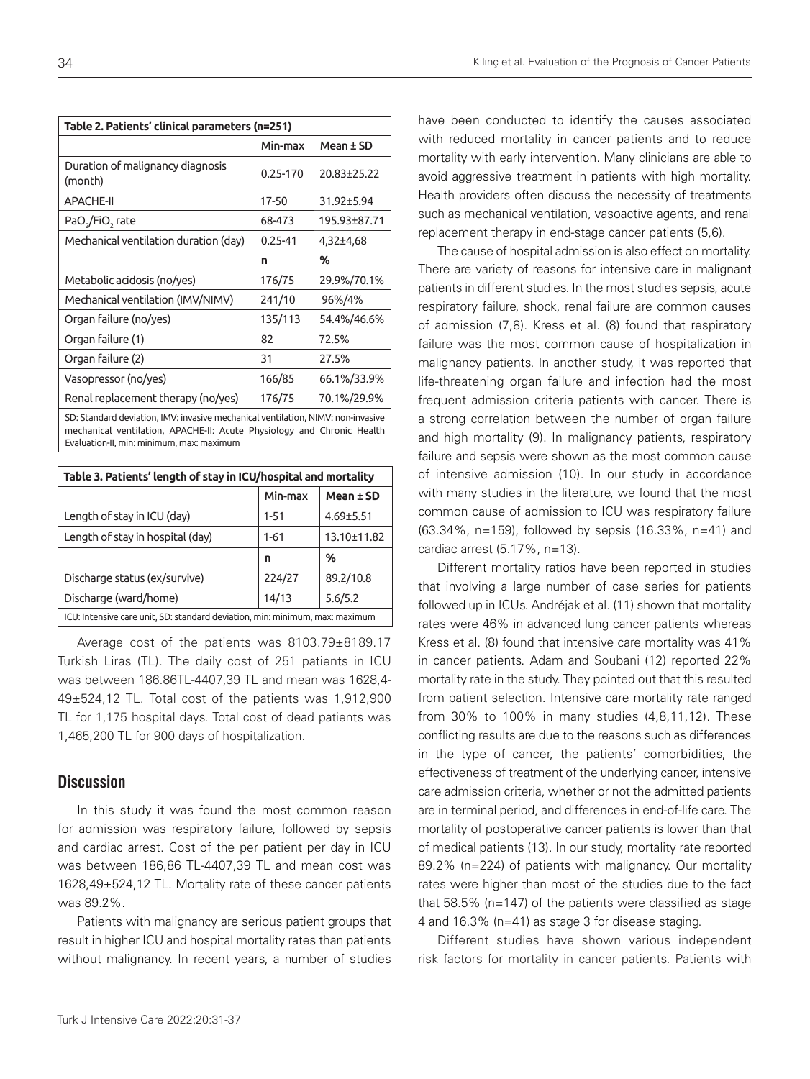| Table 2. Patients' clinical parameters (n=251)                                                                 |             |              |  |  |
|----------------------------------------------------------------------------------------------------------------|-------------|--------------|--|--|
|                                                                                                                | Min-max     | Mean ± SD    |  |  |
| Duration of malignancy diagnosis<br>(month)                                                                    | 0.25-170    | 20.83±25.22  |  |  |
| <b>APACHE-II</b>                                                                                               | 17-50       | 31.92±5.94   |  |  |
| PaO <sub>2</sub> /FiO <sub>2</sub> rate                                                                        | 68-473      | 195.93±87.71 |  |  |
| Mechanical ventilation duration (day)                                                                          | $0.25 - 41$ | 4,32±4,68    |  |  |
|                                                                                                                | n           | %            |  |  |
| Metabolic acidosis (no/yes)                                                                                    | 176/75      | 29.9%/70.1%  |  |  |
| Mechanical ventilation (IMV/NIMV)                                                                              | 241/10      | 96%/4%       |  |  |
| Organ failure (no/yes)                                                                                         | 135/113     | 54.4%/46.6%  |  |  |
| Organ failure (1)                                                                                              | 82          | 72.5%        |  |  |
| Organ failure (2)                                                                                              | 31          | 27.5%        |  |  |
| Vasopressor (no/yes)                                                                                           | 166/85      | 66.1%/33.9%  |  |  |
| Renal replacement therapy (no/yes)                                                                             | 176/75      | 70.1%/29.9%  |  |  |
| CD: Charles dead destructions. DOM: New State and also also also added to a DOM: A when the state three states |             |              |  |  |

SD: Standard deviation, IMV: invasive mechanical ventilation, NIMV: non-invasive mechanical ventilation, APACHE-II: Acute Physiology and Chronic Health Evaluation-II, min: minimum, max: maximum

| Table 3. Patients' length of stay in ICU/hospital and mortality              |          |                 |  |  |  |
|------------------------------------------------------------------------------|----------|-----------------|--|--|--|
|                                                                              | Min-max  | Mean ± SD       |  |  |  |
| Length of stay in ICU (day)                                                  | $1 - 51$ | $4.69 \pm 5.51$ |  |  |  |
| Length of stay in hospital (day)                                             | $1 - 61$ | 13.10±11.82     |  |  |  |
|                                                                              | n        | %               |  |  |  |
| Discharge status (ex/survive)                                                | 224/27   | 89.2/10.8       |  |  |  |
| Discharge (ward/home)                                                        | 14/13    | 5.6/5.2         |  |  |  |
| ICU: Intensive care unit, SD: standard deviation, min: minimum, max: maximum |          |                 |  |  |  |

Average cost of the patients was 8103.79±8189.17 Turkish Liras (TL). The daily cost of 251 patients in ICU was between 186.86TL-4407,39 TL and mean was 1628,4- 49±524,12 TL. Total cost of the patients was 1,912,900 TL for 1,175 hospital days. Total cost of dead patients was 1,465,200 TL for 900 days of hospitalization.

## **Discussion**

In this study it was found the most common reason for admission was respiratory failure, followed by sepsis and cardiac arrest. Cost of the per patient per day in ICU was between 186,86 TL-4407,39 TL and mean cost was 1628,49±524,12 TL. Mortality rate of these cancer patients was 89.2%.

Patients with malignancy are serious patient groups that result in higher ICU and hospital mortality rates than patients without malignancy. In recent years, a number of studies

have been conducted to identify the causes associated with reduced mortality in cancer patients and to reduce mortality with early intervention. Many clinicians are able to avoid aggressive treatment in patients with high mortality. Health providers often discuss the necessity of treatments such as mechanical ventilation, vasoactive agents, and renal replacement therapy in end-stage cancer patients (5,6).

The cause of hospital admission is also effect on mortality. There are variety of reasons for intensive care in malignant patients in different studies. In the most studies sepsis, acute respiratory failure, shock, renal failure are common causes of admission (7,8). Kress et al. (8) found that respiratory failure was the most common cause of hospitalization in malignancy patients. In another study, it was reported that life-threatening organ failure and infection had the most frequent admission criteria patients with cancer. There is a strong correlation between the number of organ failure and high mortality (9). In malignancy patients, respiratory failure and sepsis were shown as the most common cause of intensive admission (10). In our study in accordance with many studies in the literature, we found that the most common cause of admission to ICU was respiratory failure (63.34%, n=159), followed by sepsis (16.33%, n=41) and cardiac arrest (5.17%, n=13).

Different mortality ratios have been reported in studies that involving a large number of case series for patients followed up in ICUs. Andréjak et al. (11) shown that mortality rates were 46% in advanced lung cancer patients whereas Kress et al. (8) found that intensive care mortality was 41% in cancer patients. Adam and Soubani (12) reported 22% mortality rate in the study. They pointed out that this resulted from patient selection. Intensive care mortality rate ranged from 30% to 100% in many studies (4,8,11,12). These conflicting results are due to the reasons such as differences in the type of cancer, the patients' comorbidities, the effectiveness of treatment of the underlying cancer, intensive care admission criteria, whether or not the admitted patients are in terminal period, and differences in end-of-life care. The mortality of postoperative cancer patients is lower than that of medical patients (13). In our study, mortality rate reported 89.2% (n=224) of patients with malignancy. Our mortality rates were higher than most of the studies due to the fact that 58.5% (n=147) of the patients were classified as stage 4 and 16.3% (n=41) as stage 3 for disease staging.

Different studies have shown various independent risk factors for mortality in cancer patients. Patients with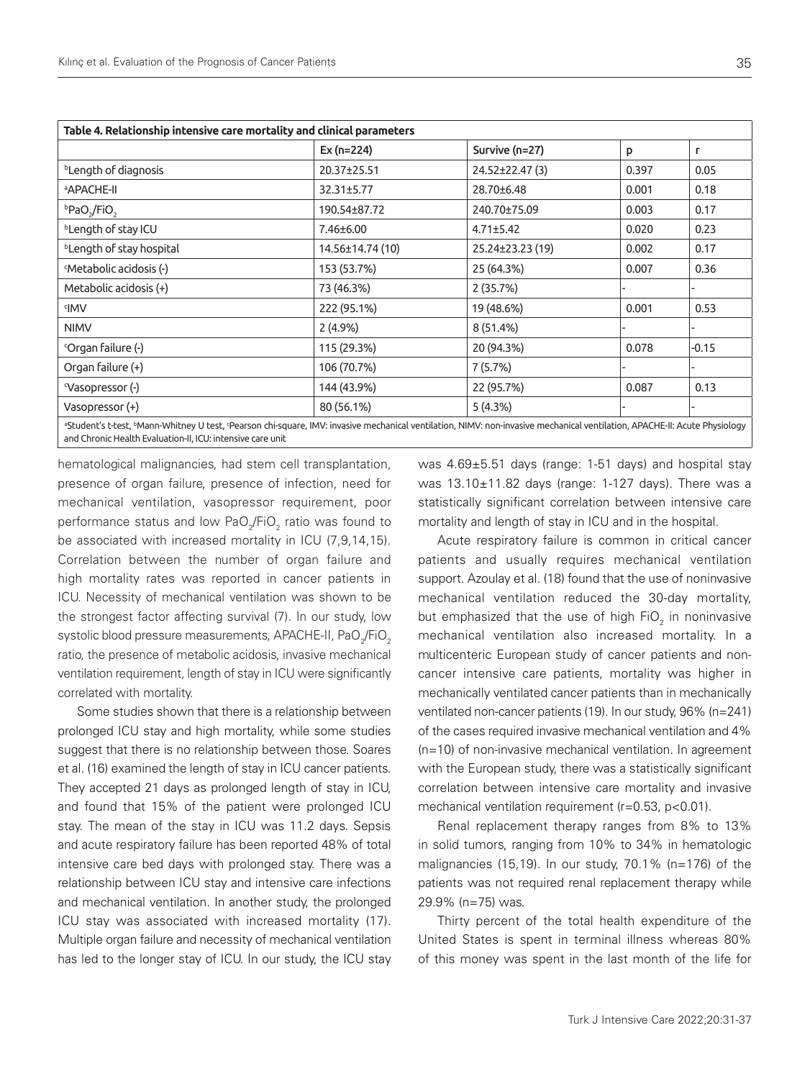| Table 4. Relationship intensive care mortality and clinical parameters                                                                                                                                                                   |                  |                  |       |         |  |  |
|------------------------------------------------------------------------------------------------------------------------------------------------------------------------------------------------------------------------------------------|------------------|------------------|-------|---------|--|--|
|                                                                                                                                                                                                                                          | Ex $(n=224)$     | Survive (n=27)   | p     | г       |  |  |
| <sup>b</sup> Length of diagnosis                                                                                                                                                                                                         | 20.37±25.51      | 24.52±22.47(3)   | 0.397 | 0.05    |  |  |
| <b>APACHE-II</b>                                                                                                                                                                                                                         | 32.31±5.77       | 28.70±6.48       | 0.001 | 0.18    |  |  |
| bPaO <sub>2</sub> /FiO <sub>2</sub>                                                                                                                                                                                                      | 190.54±87.72     | 240.70±75.09     | 0.003 | 0.17    |  |  |
| <sup>b</sup> Length of stay ICU                                                                                                                                                                                                          | 7.46±6.00        | $4.71 \pm 5.42$  | 0.020 | 0.23    |  |  |
| <sup>b</sup> Length of stay hospital                                                                                                                                                                                                     | 14.56±14.74 (10) | 25.24±23.23 (19) | 0.002 | 0.17    |  |  |
| <sup>c</sup> Metabolic acidosis (-)                                                                                                                                                                                                      | 153 (53.7%)      | 25 (64.3%)       | 0.007 | 0.36    |  |  |
| Metabolic acidosis (+)                                                                                                                                                                                                                   | 73 (46.3%)       | 2(35.7%)         |       |         |  |  |
| <b>IMV</b>                                                                                                                                                                                                                               | 222 (95.1%)      | 19 (48.6%)       | 0.001 | 0.53    |  |  |
| <b>NIMV</b>                                                                                                                                                                                                                              | $2(4.9\%)$       | 8 (51.4%)        |       |         |  |  |
| 'Organ failure (-)                                                                                                                                                                                                                       | 115 (29.3%)      | 20 (94.3%)       | 0.078 | $-0.15$ |  |  |
| Organ failure (+)                                                                                                                                                                                                                        | 106 (70.7%)      | 7 (5.7%)         |       |         |  |  |
| <sup>c</sup> Vasopressor (-)                                                                                                                                                                                                             | 144 (43.9%)      | 22 (95.7%)       | 0.087 | 0.13    |  |  |
| Vasopressor (+)                                                                                                                                                                                                                          | 80 (56.1%)       | 5(4.3%)          |       |         |  |  |
| aStudent's t-test, bMann-Whitney U test, 'Pearson chi-square, IMV: invasive mechanical ventilation, NIMV: non-invasive mechanical ventilation, APACHE-II: Acute Physiology<br>and Chronic Health Evaluation-II, ICU: intensive care unit |                  |                  |       |         |  |  |

hematological malignancies, had stem cell transplantation, presence of organ failure, presence of infection, need for mechanical ventilation, vasopressor requirement, poor performance status and low PaO<sub>2</sub>/FiO<sub>2</sub> ratio was found to be associated with increased mortality in ICU (7,9,14,15). Correlation between the number of organ failure and high mortality rates was reported in cancer patients in ICU. Necessity of mechanical ventilation was shown to be the strongest factor affecting survival (7). In our study, low systolic blood pressure measurements, APACHE-II, PaO $_{\rm 2}$ /FiO $_{\rm 2}$ ratio, the presence of metabolic acidosis, invasive mechanical ventilation requirement, length of stay in ICU were significantly correlated with mortality.

Some studies shown that there is a relationship between prolonged ICU stay and high mortality, while some studies suggest that there is no relationship between those. Soares et al. (16) examined the length of stay in ICU cancer patients. They accepted 21 days as prolonged length of stay in ICU, and found that 15% of the patient were prolonged ICU stay. The mean of the stay in ICU was 11.2 days. Sepsis and acute respiratory failure has been reported 48% of total intensive care bed days with prolonged stay. There was a relationship between ICU stay and intensive care infections and mechanical ventilation. In another study, the prolonged ICU stay was associated with increased mortality (17). Multiple organ failure and necessity of mechanical ventilation has led to the longer stay of ICU. In our study, the ICU stay was 4.69±5.51 days (range: 1-51 days) and hospital stay was 13.10±11.82 days (range: 1-127 days). There was a statistically significant correlation between intensive care mortality and length of stay in ICU and in the hospital.

Acute respiratory failure is common in critical cancer patients and usually requires mechanical ventilation support. Azoulay et al. (18) found that the use of noninvasive mechanical ventilation reduced the 30-day mortality, but emphasized that the use of high FiO<sub>2</sub> in noninvasive mechanical ventilation also increased mortality. In a multicenteric European study of cancer patients and noncancer intensive care patients, mortality was higher in mechanically ventilated cancer patients than in mechanically ventilated non-cancer patients (19). In our study, 96% (n=241) of the cases required invasive mechanical ventilation and 4% (n=10) of non-invasive mechanical ventilation. In agreement with the European study, there was a statistically significant correlation between intensive care mortality and invasive mechanical ventilation requirement (r=0.53, p<0.01).

Renal replacement therapy ranges from 8% to 13% in solid tumors, ranging from 10% to 34% in hematologic malignancies (15,19). In our study, 70.1% (n=176) of the patients was not required renal replacement therapy while 29.9% (n=75) was.

Thirty percent of the total health expenditure of the United States is spent in terminal illness whereas 80% of this money was spent in the last month of the life for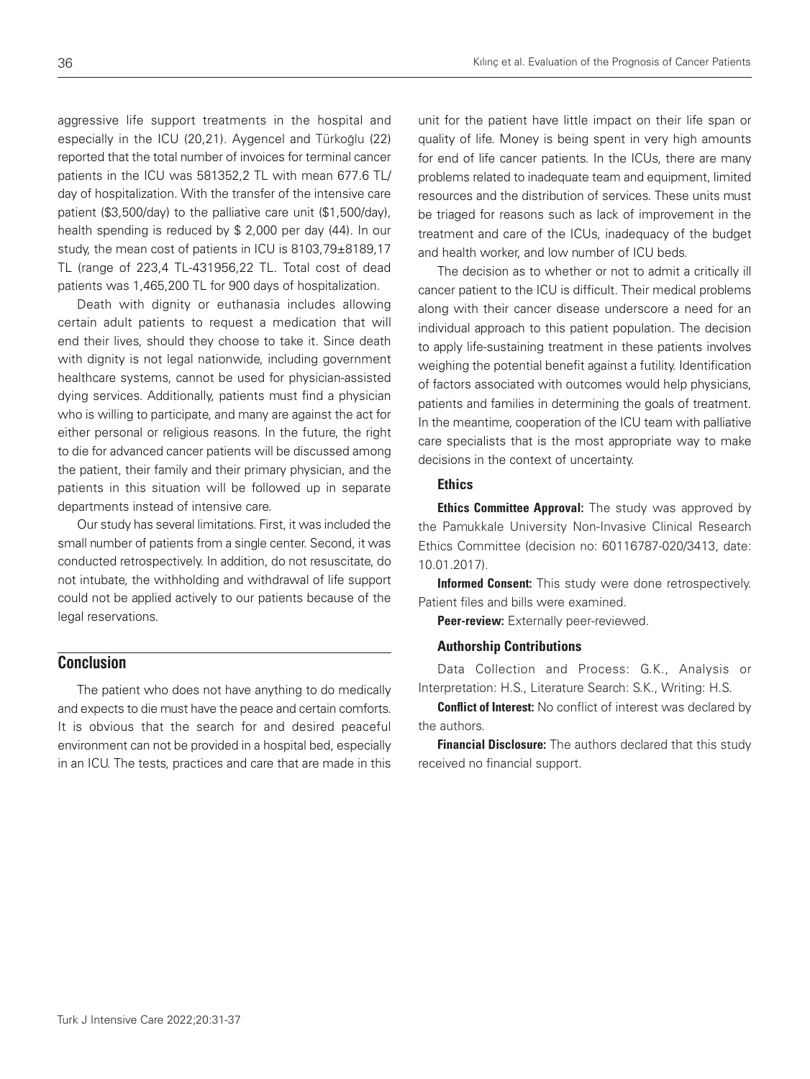aggressive life support treatments in the hospital and especially in the ICU (20,21). Aygencel and Türkoğlu (22) reported that the total number of invoices for terminal cancer patients in the ICU was 581352,2 TL with mean 677.6 TL/ day of hospitalization. With the transfer of the intensive care patient (\$3,500/day) to the palliative care unit (\$1,500/day), health spending is reduced by \$ 2,000 per day (44). In our study, the mean cost of patients in ICU is 8103,79±8189,17 TL (range of 223,4 TL-431956,22 TL. Total cost of dead patients was 1,465,200 TL for 900 days of hospitalization.

Death with dignity or euthanasia includes allowing certain adult patients to request a medication that will end their lives, should they choose to take it. Since death with dignity is not legal nationwide, including government healthcare systems, cannot be used for physician-assisted dying services. Additionally, patients must find a physician who is willing to participate, and many are against the act for either personal or religious reasons. In the future, the right to die for advanced cancer patients will be discussed among the patient, their family and their primary physician, and the patients in this situation will be followed up in separate departments instead of intensive care.

Our study has several limitations. First, it was included the small number of patients from a single center. Second, it was conducted retrospectively. In addition, do not resuscitate, do not intubate, the withholding and withdrawal of life support could not be applied actively to our patients because of the legal reservations.

#### **Conclusion**

The patient who does not have anything to do medically and expects to die must have the peace and certain comforts. It is obvious that the search for and desired peaceful environment can not be provided in a hospital bed, especially in an ICU. The tests, practices and care that are made in this unit for the patient have little impact on their life span or quality of life. Money is being spent in very high amounts for end of life cancer patients. In the ICUs, there are many problems related to inadequate team and equipment, limited resources and the distribution of services. These units must be triaged for reasons such as lack of improvement in the treatment and care of the ICUs, inadequacy of the budget and health worker, and low number of ICU beds.

The decision as to whether or not to admit a critically ill cancer patient to the ICU is difficult. Their medical problems along with their cancer disease underscore a need for an individual approach to this patient population. The decision to apply life-sustaining treatment in these patients involves weighing the potential benefit against a futility. Identification of factors associated with outcomes would help physicians, patients and families in determining the goals of treatment. In the meantime, cooperation of the ICU team with palliative care specialists that is the most appropriate way to make decisions in the context of uncertainty.

#### Ethics

**Ethics Committee Approval:** The study was approved by the Pamukkale University Non-Invasive Clinical Research Ethics Committee (decision no: 60116787-020/3413, date: 10.01.2017).

Informed Consent: This study were done retrospectively. Patient files and bills were examined.

Peer-review: Externally peer-reviewed.

#### Authorship Contributions

Data Collection and Process: G.K., Analysis or Interpretation: H.S., Literature Search: S.K., Writing: H.S.

**Conflict of Interest:** No conflict of interest was declared by the authors.

**Financial Disclosure:** The authors declared that this study received no financial support.